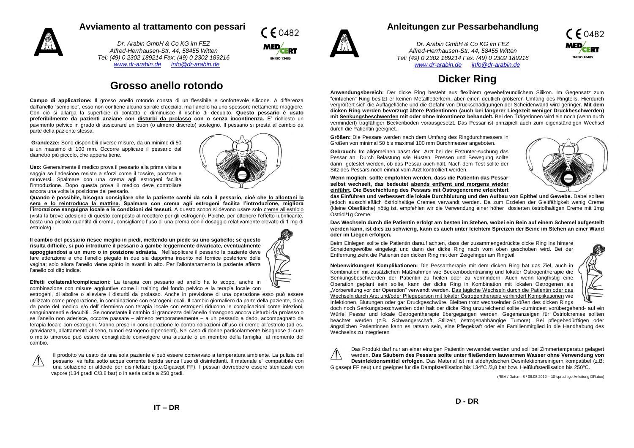## **Avviamento al trattamento con pessari**



*Dr. Arabin GmbH & Co KG im FEZ Alfred-Herrhausen-Str. 44, 58455 Witten Tel: (49) 0 2302 189214 Fax: (49) 0 2302 189216 [www.dr-arabin.de](http://www.dr-arabin.de/) [info@dr-arabin.de](mailto:info@dr-arabin.de)*

## **Grosso anello rotondo**

**Campo di applicazione:** Il grosso anello rotondo consta di un flessibile e confortevole silicone. A differenza dall'anello "semplice", esso non contiene alcuna spirale d'acciaio, ma l'anello ha uno spessore nettamente maggiore. Con ciò si allarga la superficie di contatto e diminuisce il rischio di decubito. **Questo pessario è usato preferibilmente da pazienti anziane con disturbi da prolasso con o senza incontinenza.** E' richiesto un pavimento pelvico in grado di assicurare un buon (o almeno discreto) sostegno. Il pessario si presta al cambio da parte della paziente stessa.

**Grandezze:** Sono disponibili diverse misure, da un minimo di 50 a un massimo di 100 mm. Occorre applicare il pessario dal diametro più piccolo, che appena tiene.

**Uso:** Generalmente il medico prova il pessario alla prima visita e saggia se l'adesione resiste a sforzi come il tossire, ponzare e muoversi. Spalmare con una crema agli estrogeni facilita l'introduzione. Dopo questa prova il medico deve controllare ancora una volta la posizione del pessario.

**Quando è possibile, bisogna consigliare che la paziente cambi da sola il pessario, cioè che lo allontani la sera e lo reintroduca la mattina. Spalmare con crema agli estrogeni facilita l'introduzione, migliora l'irrorazione sanguigna locale e le condizioni dei tessuti.** A questo scopo si devono usare solo creme all'estriolo (vista la breve adesione di questo composto al recettore per gli estrogeni). Poiché, per ottenere l'effetto lubrificante, basta una piccola quantità di crema, consigliamo l'uso di una crema con il dosaggio relativamente elevato di 1 mg di estriolo/g.

**Il cambio del pessario riesce meglio in piedi, mettendo un piede su uno sgabello; se questo risulta difficile, si può introdurre il pessario a gambe leggermente divaricate, eventualmente appoggiandosi a un muro o in posizione sdraiata.** Nell'applicare il pessario la paziente deve fare attenzione a che l'anello piegato in due sia dapprima inserito nel fornice posteriore della vagina; solo allora l'anello viene spinto in avanti in alto. Per l'allontanamento la paziente afferra l'anello col dito indice.



 $F$  60482

**Effetti collaterali/complicazioni:** La terapia con pessario ad anello ha lo scopo, anche in combinazione con misure aggiuntive come il training del fondo pelvico e la terapia locale con

estrogeni, di abolire o alleviare i disturbi da prolasso. Anche in previsione di una operazione esso può essere utilizzato come preparazione, in combinazione con estrogeni locali. Il cambio giornaliero da parte della paziente, circa da parte del medico e/o dell'infermiera con terapia locale con estrogeni riducono le complicazioni come infezioni, sanguinamenti e decubiti. Se nonostante il cambio di grandezza dell'anello rimangono ancora disturbi da prolasso o se l'anello non aderisce, occorre passare – almeno temporaneamente – a un pessario a dado, accompagnato da terapia locale con estrogeni. Vanno prese in considerazione le controindicazioni all'uso di creme all'estriolo (ad es. gravidanza, allattamento al seno, tumori estrogeno-dipendenti). Nel caso di donne particolarmente bisognose di cure o molto timorose può essere consigliabile coinvolgere una aiutante o un membro della famiglia al momento del cambio.



Il prodotto va usato da una sola paziente e può essere conservato a temperatura ambiente. La pulizia del pessario va fatta sotto acqua corrente tiepida senza l'uso di disinfettanti. Il materiale e´ compatiibile con una soluzione di aldeide per disinfettare (p.e.Gigasept FF). I pessari dovrebbero essere sterilizzati con vapore (134 gradi C/3.8 bar) o in aeria calda a 250 gradi.

#### **Anleitungen zur Pessarbehandlung**

*Dr. Arabin GmbH & Co KG im FEZ Alfred-Herrhausen-Str. 44, 58455 Witten Tel: (49) 0 2302 189214 Fax: (49) 0 2302 189216 [www.dr-arabin.de](http://www.dr-arabin.de/) [info@dr-arabin.de](mailto:info@dr-arabin.de)*



## **Dicker Ring**

**Anwendungsbereich:** Der dicke Ring besteht aus flexiblem gewebefreundlichem Silikon. Im Gegensatz zum "einfachen" Ring besitzt er keinen Metallfederkern, aber einen deutlich größeren Umfang des Ringteils. Hierdurch vergrößert sich die Auflagefläche und die Gefahr von Druckschädigungen der Scheidenwand wird geringer. **Mit dem dicken Ring werden bevorzugt ältere Patientinnen (auch bei längerer Liegezeit weniger Druckbeschwerden) mit Senkungsbeschwerden mit oder ohne Inkontinenz behandelt.** Bei den Trägerinnen wird ein noch (wenn auch vermindert) tragfähiger Beckenboden vorausgesetzt. Das Pessar ist prinzipiell auch zum eigenständigen Wechsel durch die Patientin geeignet.

**Größen:** Die Pessare werden nach dem Umfang des Ringdurchmessers in Größen von minimal 50 bis maximal 100 mm Durchmesser angeboten.

**Gebrauch:** Im allgemeinen passt der Arzt bei der Erstunter-suchung das Pessar an. Durch Belastung wie Husten, Pressen und Bewegung sollte dann getestet werden, ob das Pessar auch hält. Nach dem Test sollte der Sitz des Pessars noch einmal vom Arzt kontrolliert werden.

**Wenn möglich, sollte empfohlen werden, dass die Patientin das Pessar selbst wechselt, das bedeutet abends entfernt und morgens wieder einführt. Die Beschichtung des Pessars mit Östrogencreme erleichtert** 



**das Einführen und verbessert die lokale Durchblutung und den Aufbau von Epithel und Gewebe.** Dabei sollten jedoch ausschließlich östriolhaltige Cremes verwandt werden. Da zum Erzielen der Gleitfähigkeit wenig Creme (kleine Oberfläche) nötig ist, empfehlen wir die Verwendung einer höher dosierten östriolhaltigen Creme mit 1mg Östriol/1g Creme.

**Das Wechseln durch die Patientin erfolgt am besten im Stehen, wobei ein Bein auf einem Schemel aufgestellt werden kann, ist dies zu schwierig, kann es auch unter leichtem Spreizen der Beine im Stehen an einer Wand oder im Liegen erfolgen.**

Beim Einlegen sollte die Patientin darauf achten, dass der zusammengedrückte dicke Ring ins hintere Scheidengewölbe eingelegt und dann der dicke Ring nach vorn oben geschoben wird. Bei der Entfernung zieht die Patientin den dicken Ring mit dem Zeigefinger am Ringteil.

**Nebenwirkungen/ Komplikationen:** Die Pessartherapie mit dem dicken Ring hat das Ziel, auch in Kombination mit zusätzlichen Maßnahmen wie Beckenbodentraining und lokaler Östrogentherapie die Senkungsbeschwerden der Patientin zu heilen oder zu vermindern. Auch wenn langfristig eine Operation geplant sein sollte, kann der dicke Ring in Kombination mit lokalen Östrogenen als "Vorbereitung vor der Operation" verwandt werden. Das tägliche Wechseln durch die Patientin oder das Wechseln durch Arzt und/oder Pflegeperson mit lokaler Östrogentherapie verhindert Komplikationen wie Infektionen, Blutungen oder gar Druckgeschwüre. Bleiben trotz wechselnder Größen des dicken Rings



doch noch Senkungsbeschwerden oder hält der dicke Ring unzureichend sollte -zumindest vorübergehend- auf ein Würfel Pessar und lokale Östrogentherapie übergegangen werden. Gegenanzeigen für Östriolcremes sollten beachtet werden (z.B. Schwangerschaft, Stillzeit, östrogenabhängige Tumore). Bei pflegebedürftigen oder ängstlichen Patientinnen kann es ratsam sein, eine Pflegekraft oder ein Familienmitglied in die Handhabung des Wechselns zu integrieren

Das Produkt darf nur an einer einzigen Patientin verwendet werden und soll bei Zimmertemperatur gelagert werden**. Das Säubern des Pessars sollte unter fließendem lauwarmen Wasser ohne Verwendung von Desinfektionsmittel erfolgen**. Das Material ist mit aldehydischen Desinfektionsreinigern kompatibel (z.B: Gigasept FF neu) und geeignet für die Dampfsterilisation bis 134ºC /3,8 bar bzw. Heißluftsterilisation bis 250ºC.

(REV / Datum: 8 / 08.08.2012 – 10-sprachige Anleitung DR.doc)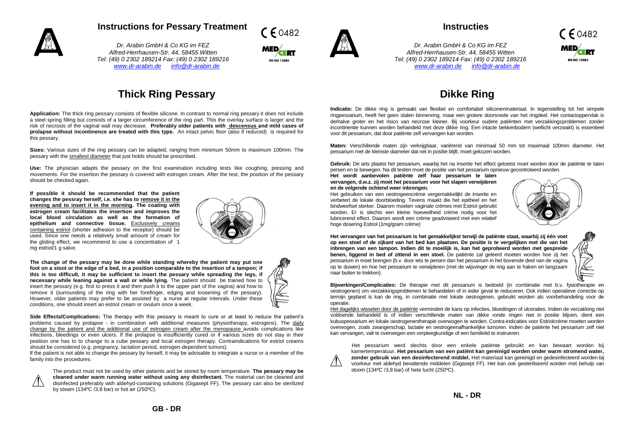

## **Instructions for Pessary Treatment**

*Dr. Arabin GmbH & Co KG im FEZ Alfred-Herrhausen-Str. 44, 58455 Witten Tel: (49) 0 2302 189214 Fax: (49) 0 2302 189216 [www.dr-arabin.de](http://www.dr-arabin.de/) [info@dr-arabin.de](mailto:info@dr-arabin.de)*





## **Instructies**

*Dr. Arabin GmbH & Co KG im FEZ Alfred-Herrhausen-Str. 44, 58455 Witten Tel: (49) 0 2302 189214 Fax: (49) 0 2302 189216 [www.dr-arabin.de](http://www.dr-arabin.de/) [info@dr-arabin.de](mailto:info@dr-arabin.de)*



# **Thick Ring Pessary**

**Application:** The thick ring pessary consists of flexible silicone. In contrast to normal ring pessary it does not include a steel spring filling but consists of a larger circumference of the ring part. This the overlay surface is larger and the risk of necrosis of the vaginal wall may decrease. **Preferably older patients with descensus and mild cases of prolapse without incontinence are treated with this type.** An intact pelvic floor (also if reduced) is required for this pessary.

**Sizes:** Various sizes of the ring pessary can be adapted, ranging from minimum 50mm to maximum 100mm. The pessary with the smallest diameter that just holds should be prescribed.

**Use:** The physician adapts the pessary on the first examination including tests like coughing, pressing and movements. For the insertion the pessary is covered with estrogen cream. After the test, the position of the pessary should be checked again.

**If possible it should be recommended that the patient changes the pessray herself, i.e. she has to remove it in the evening and to insert it in the morning. The coating with estrogen cream facilitates the insertion and improves the local blood circulation as well as the formation of epithelium and connective tissue.** Exclusively creams containing estriol (shorter adhesion to the receptor) should be used. Since one needs a relatively small amount of cream for the gliding effect, we recommend to use a concentration of 1 mg estriol/1 g salve.



**The change of the pessary may be done while standing whereby the patient may put one foot on a stool or the edge of a bed, in a position comparable to the insertion of a tampon; if this is too difficult, it may be sufficient to insert the pessary while spreading the legs, if necessary while leaning against a wall or while lying.** The patient should be trained how to insert the pessary (e.g. first to press it and then push it to the upper part of the vagina) and how to remove it (surrounding of the ring with her forefinger, edging and loosening of the pessary). However, older patients may prefer to be assisted by a nurse at regular intervals. Under these conditions, one should insert an estriol cream or ovulum once a week.



**Side Effects/Complications:** The therapy with this pessary is meant to cure or at least to reduce the patient's problems caused by prolapse - in combination with additional measures (physiotherapy, estrogens). The daily change by the patient and the additional use of estrogen cream after the menopause avoids complications like infections, bleedings or even ulcers. If the prolapse is insufficiently cured or if various sizes do not stay in their position one has to to change to a cube pessary and local estrogen therapy. Contraindications for estriol creams should be considered (e.g. pregnancy, lactation period, estrogen-dependent tumors).

If the patient is not able to change the pessary by herself, it may be advisable to integrate a nurse or a member of the family into the procedures.

The product must not be used by other patients and be stored by room temperature. **The pessary may be cleaned under warm running water without using any disinfectant.** The material can be cleaned and disinfected preferably with aldehyd-containing solutions (Gigasept FF). The pessary can also be sterilized by steam (134ºC /3,8 bar) or hot air (250ºC).

# **Dikke Ring**

**Indicatie:** De dikke ring is gemaakt van flexibel en comfortabel siliconenmateriaal. In tegenstelling tot het simpele ringpessarium, heeft het geen stalen binnenring, maar een grotere doorsnede van het ringdeel. Het contactoppervlak is derhalve groter en het risico van necrose kleiner. Bij voorkeur oudere patiënten met verzakkingsproblemen zonder incontinentie kunnen worden behandeld met deze dikke ring. Een intacte bekkenbodem (wellicht verzwakt) is essentieel voor dit pessarium, dat door patiënte zelf vervangen kan worden.

**Maten:** Verschillende maten zijn verkrijgbaar, variërend van minimaal 50 mm tot maximaal 100mm diameter. Het pessarium met de kleinste diameter dat net in positie blijft, moet gekozen worden.

**Gebruik:** De arts plaatst het pessarium, waarbij het na insertie het effect getoetst moet worden door de patiënte te laten persen en te bewegen. Na dit testen moet de positie van het pessarium opnieuw gecontroleerd worden.

**Het wordt aanbevolen patiënte zelf haar pessarium te laten vervangen, d.w.z. zij moet het pessarium voor het slapen verwijderen en de volgende ochtend weer inbrengen.**

Het gebruiken van een oestrogeencrème vergemakkelijkt de insertie en verbetert de lokale doorbloeding. Tevens maakt die het epitheel en het bindweefsel sterker. Daarom moeten vaginale crèmes met Estriol gebruikt worden. Er is slechts een kleine hoeveelheid crème nodig voor het lubricerend effect. Daarom wordt een crème geadviseerd met een relatief hoge dosering Estriol (1mg/gram crème)



**Het vervangen van het pessarium is het gemakkelijkst terwijl de patiënte staat, waarbij zij één voet op een stoel of de zijkant van het bed kan plaatsen. De positie is te vergelijken met die van het inbrengen van een tampon. Indien dit te moeilijk is, kan het geprobeerd worden met gespreide benen, liggend in bed of zittend in een stoel.** De patiënte zal geleerd moeten worden hoe zij het pessarium in moet brengen (b.v. door iets te persen dan het pessarium in het bovenste deel van de vagina op te duwen) en hoe het pessarium te verwijderen (met de wijsvinger de ring aan te haken en langzaam naar buiten te trekken).



**Bijwerkingen/Complicaties:** De therapie met dit pessarium is bedoeld (in combinatie met b.v. fysiotherapie en oestrogenen) om verzakkingsproblemen te behandelen of in ieder geval te reduceren. Ook indien operatieve correctie op termijn gepland is kan de ring, in combinatie met lokale oestrogenen, gebruikt worden als voorbehandeling voor de operatie.

Het dagelijks wisselen door de patiënte vermindert de kans op infecties, bloedingen of ulceraties. Indien de verzakking niet voldoende behandeld is of indien verschillende maten van dikke ronde ringen niet in positie blijven, dient een kubuspessarium en lokale oestrogenentherapie overwogen te worden. Contra-indicaties voor Estriolcrème moeten worden overwogen, zoals zwangerschap, lactatie en oestrogeenafhankelijke tumoren. Indien de patiënte het pessarium zelf niet kan vervangen, valt te overwegen een verpleegkundige of een familielid te instrueren.

Het pessarium werd slechts door een enkele patiënte gebruikt en kan bewaart worden bij kamertemperatuur. **Het pessarium van een patiënt kan gereinigd worden onder warm stromend water, zonder gebruik van een desinfecterend middel.** Het materiaal kan gereinigd en gedesinfecteerd worden bij voorkeur met aldehyd bevattende middelen (Gigasept FF). Het kan ook gesteriliseerd worden met behulp van stoom (134ºC /3,8 bar) of hete lucht (250ºC).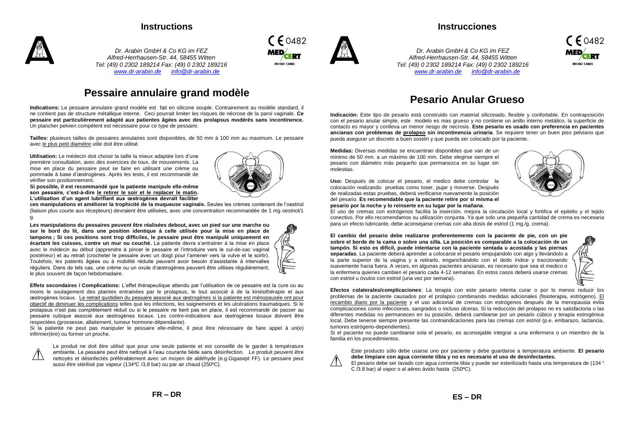## **Instructions**



*Dr. Arabin GmbH & Co KG im FEZ Alfred-Herrhausen-Str. 44, 58455 Witten Tel: (49) 0 2302 189214 Fax: (49) 0 2302 189216 [www.dr-arabin.de](http://www.dr-arabin.de/) [info@dr-arabin.de](mailto:info@dr-arabin.de)*

## **Pessaire annulaire grand modèle**

**Indications:** Le pessaire annulaire grand modèle est fait en silicone souple. Contrairement au modèle standard, il ne contient pas de structure métallique interne. Ceci pourrait limiter les risques de nécrose de la paroi vaginale. **Ce pessaire est particulièrement adapté aux patientes âgées avec des prolapsus modérés sans incontinence.**  Un plancher pelvien compétent est nécessaire pour ce type de pessaire.

**Tailles:** plusieurs tailles de pessaires annulaires sont disponibles, de 50 mm à 100 mm au maximum. Le pessaire avec le plus petit diamètre utile doit être utilisé.

**Utilisation:** Le médecin doit choisir la taille la mieux adaptée lors d'une première consultation, avec des exercices de toux, de mouvements. La mise en place du pessaire peut se faire en utilisant une crème ou pommade à base d'œstrogènes. Après les tests, il est recommandé de vérifier son positionnement.

**Si possible, il est recommandé que la patiente manipule elle-même son pessaire, c'est-à-dire le retirer le soir et le replacer le matin. L'utilisation d'un agent lubrifiant aux œstrogènes devrait faciliter** 

**ces manipulations et améliorer la trophicité de la muqueuse vaginale.** Seules les crèmes contenant de l'oestriol (liaison plus courte aux récepteurs) devraient être utilisées, avec une concentration recommandée de 1 mg oestriol/1 g.

**Les manipulations du pessaires peuvent être réalisées debout, avec un pied sur une marche ou sur le bord du lit, dans une position identique à celle utilisée pour la mise en place de tampons ; Si ces positions sont trop difficiles, le pessaire peut être manipulé uniquement en écartant les cuisses, contre un mur ou couché.** La patiente devra s'entrainer à la mise en place avec le médecin au début (apprendre à pincer le pessaire et l'introduire vers le cul-de-sac vaginal postérieur) et au retrait (crocheter le pessaire avec un doigt pour l'amener vers la vulve et le sortir). Toutefois, les patients âgées ou à mobilité réduite peuvent avoir besoin d'assistante à intervalles réguliers. Dans de tels cas, une crème ou un ovule d'œstrogènes peuvent être utilises régulièrement, le plus souvent de façon hebdomadaire.



**Effets secondaires / Complications:** L'effet thérapeutique attendu par l'utilisation de ce pessaire est la cure ou au moins le soulagement des plaintes entrainées par le prolapsus, le tout associé à de la kinésithérapie et aux œstrogènes locaux. Le retrait quotidien du pessaire associé aux œstrogènes si la patiente est ménopausée ont pour objectif de diminuer les complications telles que les infections, les saignements et les ulcérations traumatiques. Si le prolapsus n'est pas complètement réduit ou si le pessaire ne tient pas en place, il est recommandé de passer au pessaire cubique associé aux œstrogènes locaux. Les contre-indications aux œstrogènes locaux doivent être respectées (grossesse, allaitement, tumeur hormone-dépendante).

Si la patiente ne peut pas manipuler le pessaire elle-même, il peut être nécessaire de faire appel à un(e) infirmier(ère) ou former un proche.



Le produit ne doit être utilisé que pour une seule patiente et est conseillé de le garder à température ambiante. Le pessaire peut être nettoyé à l'eau courante tiède sans désinfection. Le produit peuvent être nettoyés et désinfectés préférablement avec un moyen de aldéhyde (e.g.Gigasept FF). Le pessaire peut aussi être stérilisé par vapeur (134ºC /3,8 bar) ou par air chaud (250ºC).







*Dr. Arabin GmbH & Co KG im FEZ Alfred-Herrhausen-Str. 44, 58455 Witten Tel: (49) 0 2302 189214 Fax: (49) 0 2302 189216 [www.dr-arabin.de](http://www.dr-arabin.de/) [info@dr-arabin.de](mailto:info@dr-arabin.de)*

**Instrucciones**



## **Pesario Anular Grueso**

**Indicación:** Este tipo de pesario está construido con material siliconado, flexible y confortable. En contraposición con el pesario anular simple, este modelo es mas grueso y no contiene un anillo interno metálico, la superficie de contacto es mayor y conlleva un menor riesgo de necrosis. **Este pesario es usado con preferencia en pacientes ancianas con problemas de prolapso sin incontinencia urinaria**. Se requiere tener un buen piso pelviano que pueda asegurar un discreto a buen sostén y que pueda ser colocado por la paciente.

**Medidas:** Diversas medidas se encuentran disponibles que van de un mínimo de 50 mm. a un máximo de 100 mm. Debe elegirse siempre el pesario con diámetro más pequeño que permanezca en su lugar sin molestias.

**Uso:** Después de colocar el pesario, el medico debe controlar la colocación realizando pruebas como toser, pujar y moverse. Después de realizadas estas pruebas, deberá verificarse nuevamente la posición del pesario. **Es recomendable que la paciente retire por si misma el pesario por la noche y lo reinserte en su lugar por la mañana**.



El uso de cremas con estrógenos facilita la inserción, mejora la circulación local y fortifica el epitelio y el tejido conectivo. Por ello recomendamos su utilización conjunta. Ya que solo una pequeña cantidad de crema es necesaria para un efecto lubricante, debe aconsejarse cremas con alta dosis de estriol (1 mg./g. crema).

**El cambio del pesario debe realizarse preferentemente con la paciente de pie, con un pie sobre el borde de la cama o sobre una silla. La posición es comparable a la colocación de un tampón. Si esto es difícil, puede intentarse con la paciente sentada u acostada y las piernas separadas**. La paciente deberá aprender a colocarse el pesario empujandolo con algo y llevándolo a la parte superior de la vagina y a retirarlo, enganchándolo con el dedo índice y traccionando suavemente hacia fuera. A veces, en algunas pacientes ancianas, es necesario que sea el medico o la enfermera quienes cambien el pesario cada 4-12 semanas. En estos casos deberá usarse cremas con estriol u óvulos con estriol (una vez por semana).



**Efectos colaterales/complicaciones**: La terapia con este pesario intenta curar o por lo menos reducir los problemas de la paciente causados por el prolapso combinando medidas adicionales (fisioterapia, estrógeno). El recambio diario por la paciente y el uso adicional de cremas con estrógenos después de la menopausia evita complicaciones como infecciones, sangrados o incluso úlceras. Si la reducción del prolapso no es satisfactoria o las diferentes medidas no permanecen en su posición, deberá cambiarse por un pesario cúbico y terapia estrogénica local. Debe tenerse siempre presente las contraindicaciones para las cremas con estriol (p.e. embarazo, lactancia, tumores estrógeno-dependientes).

Si el paciente no puede cambiarse sola el pesario, es aconsejable integrar a una enfermera o un miembro de la familia en los procedimientos.

Este producto sólo debe usarse uno por paciente y debe guardarse a temperatura ambiente. **El pesario** 



**debe limpiare con agua corriente tibia y no es necesario el uso de desinfectantes.** El pesario debe ser lavado con agua corriente tibia y puede ser esterilizado hasta una temperatura de (134 °

C /3.8 bar) al vapor o al aéreo ávido hasta (250ºC).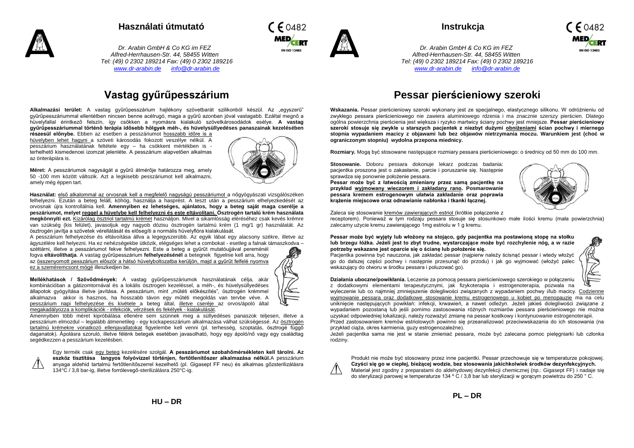

#### **Használati útmutató**

*Dr. Arabin GmbH & Co KG im FEZ Alfred-Herrhausen-Str. 44, 58455 Witten Tel: (49) 0 2302 189214 Fax: (49) 0 2302 189216 [www.dr-arabin.de](http://www.dr-arabin.de/) [info@dr-arabin.de](mailto:info@dr-arabin.de)*



**Alkalmazási terület:** A vastag gyűrűpesszárium hajlékony szövetbarát szilikonból készül. Az "egyszerű" gyűrűpesszáriummal ellentétben nincsen benne acélrugó, maga a gyűrű azonban jóval vastagabb. Ezáltal megnő a hüvelyfallal érintkező felszín, így csökken a nyomásra kialakuló szövetkárosodádok esélye. **A vastag gyűrűpesszáriummal történő terápia idősebb hölgyek méh-, és hüvelysüllyedéses panaszainak kezelésében** 

**részesül előnybe.** Ebben az esetben a pesszáriumot hosszabb időre is a hüvelyben lehet hagyni a szöveti károsodás fokozott veszélye nélkül. A pesszárium használatának feltétele egy – ha csökkent mértékben is terhelhető kismedencei izomzat jelenléte. A pesszárium alapvetően alkalmas az önterápiára is.



 $\mathcal{L}_{\mathcal{O}482}$ 

**EN ISO 13485** 

**Méret:** A pesszáriumok nagyságát a gyűrű átmérője határozza meg, amely 50 -100 mm között változik. Azt a legkisebb pesszáriumot kell alkalmazni, amely még éppen tart.

**Használat:** első alkalommal az orvosnak kell a megfelelő nagyságú pesszáriumot a nőgyógyászati vizsgálószéken felhelyezni. Ezután a beteg feláll, köhög, használja a hasprést. A teszt után a pesszárium elhelyezkedését az orvosnak újra kontrollálnia kell. **Amennyiben ez lehetséges, ajánlatos, hogy a beteg saját maga cserélje a peszáriumot, melyet reggel a hüvelybe kell felhelyezni és este eltávolítani. Ösztrogén tartalú krém használata megkönnyíti ezt.** Kizárólag ösztriol tartalmú krémet használjon. Mivel a sikamlósság eléréséhez csak kevés krémre van szükség (kis felület), javasoljuk egy nagyob dózisu ösztrogén tartalmú krém (1 mg/1 gr) használatát. Az ösztrogén javítja a szövetek vérellátását és elősegíti a normális hüvelyflóra kialakulását.

A pesszárium felhelyezése és eltávoítása állva a legegyszerübb. Az egyik lábat egy alacsony székre, illetve az ágyszélére kell helyezni. Ha ez nehézségekbe ütközik, elégséges lehet a combokat - esetleg a falnak támaszkodva –

széttárni, illetve a pesszáriumot fekve felhelyezni. Este a beteg a gyűrűt mutatóujjával pereménél fogva **eltávolíthatja**. A vastag gyűrűpesszárium **felhelyezésénél** a betegnek figyelnie kell arra, hogy az összenyomott pesszárium először a hátsó hüvelyboltozatba kerüljön, majd a gyűrűt felfelé nyomva ez a szeméremcsont mögé illeszkedjen be.

**Mellékhatások / Szövődmények:** A vastag gyűrűpesszáriumok használatának célja, akár kombinációban a gátizomtornával és a lokális ösztrogen kezeléssel, a méh-, és hüvelysüllyedéses állapotok gyógyítása illetve javítása. A pesszárium, mint "műtéti előkészítés", ösztrogén krémmel alkalmazva akkor is hasznos, ha hosszabb távon egy műtéti megoldás van tervbe véve. A pesszárium napi felhelyezése és kivétele a beteg által, illetve cseréje az orvos/ápoló által megakadályozza a komplikációk - infekciók, vérzések és fekélyek - kialakulását.



Amennyiben több méret kipróbálása ellenére sem szünnek meg a süllyedéses panaszok teljesen, illetve a pesszárium elmozdul – legalább átmenetileg - egy kockapesszárium alkalmazása válhat szükségessé. Az ösztrogén tartalmú krémekre vonatkozó ellenjavallatokat figyelembe kell venni (pl. terhesség, szoptatás, ösztrogé függő daganatok). Ápolásra szoruló, illetve félénk betegek esetében javasolható, hogy egy ápoló/nő vagy egy családtag segédkezzen a pesszárium kezelésben.

Egy termék csak egy beteg kezelésére szolgál. **A pesszáriumot szobahőmérsékleten kell tárolni. Az eszköz tisztítása langyos folyóvízzel történjen, fertőtlenítőszer alkalmazása nélkül.**A pesszárium anyaga aldehid tartalmú fertőtlenítőszerrel kezelhető (pl. Gigasept FF neu) és alkalmas gőzsterilizálásra 134°C / 3,8 bar-ig, illetve forrólevegő-sterilizálásra 250°C-ig.



*Dr. Arabin GmbH & Co KG im FEZ Alfred-Herrhausen-Str. 44, 58455 Witten [www.dr-arabin.de](http://www.dr-arabin.de/) [info@dr-arabin.de](mailto:info@dr-arabin.de)*



*Tel: (49) 0 2302 189214 Fax: (49) 0 2302 189216*

## **Pessar pierścieniowy szeroki**

**Wskazania.** Pessar pierścieniowy szeroki wykonany jest ze specjalnego, elastycznego silikonu. W odróżnieniu od zwykłego pessara pierścieniowego nie zawiera aluminiowego rdzenia i ma znacznie szerszy pierścien. Dlatego ogólna powierzchnia pierścienia jest większa i ryzyko martwicy ściany pochwy jest mniejsze. **Pessar pierścieniowy szeroki stosuje się zwykle u starszych pacjentek z niezbyt dużymi obniżeniami ścian pochwy i miernego stopnia wypadaniem macicy z objawami lub bez objawów nietrzymania moczu. Warunkiem jest (choć w ograniczonym stopniu) wydolna przepona miednicy.**

**Rozmiary.** Mogą być stosowane następujące rozmiary pessara pierścieniowego: o średnicy od 50 mm do 100 mm.

**Stosowanie.** Doboru pessara dokonuje lekarz podczas badania: pacjentka proszona jest o zakasłanie, parcie i poruszanie się. Następnie sprawdza się ponownie położenie pessara.

**Pessar może być z łatwością zmieniany przez samą pacjentkę na przykład wyjmowany wieczorem i zakładany rano. Posmarowanie pessara kremem estrogenowym ułatwia zakładanie oraz poprawia krążenie miejscowe oraz odnawianie nabłonka i tkanki łącznej.**



Zaleca się stosowanie kremów zawierających estriol (krótkie połączenie z

receptorem). Ponieważ w tym rodzaju pessara stosuje się stosunkowo małe ilości kremu (mała powierzchnia) zalecamy użycie kremu zawierającego 1mg estriolu w 1 g kremu.

#### **Pessar może być wyjęty lub włożony na stojąco, gdy pacjentka ma postawioną stopę na stołku lub brzegu łóżka. Jeżeli jest to zbyt trudne, wystarczające może być rozchylenie nóg, a w razie potrzeby wskazane jest oparcie się o ścianę lub położenie się.**

Pacjentka powinna być nauczona, jak zakładać pessar (najpierw należy ścisnąć pessar i wtedy włożyć go do dalszej części pochwy i następnie przesunąć do przodu) i jak go wyjmować (włożyć palec wskazujący do otworu w środku pessara i poluzować go).



**Działania uboczne/powikłania.** Leczenie za pomocą pessara pierścieniowego szerokiego w połączeniu z dodatkowymi elementami terapeutycznymi, jak fizykoterapia i estrogenoterapia, pozwala na

wyleczenie lub co najmniej zmniejszenie dolegliwości związanych z wypadaniem pochwy i/lub macicy. Codzienne wyjmowanie pessara oraz dodatkowe stosowanie kremu estrogenowego u kobiet po menopauzie ma na celu uniknięcie następujących powikłań: infekcji, krwawień, a nawet odleżyn. Jeżeli jakieś dolegliwości związane z wypadaniem pozostaną lub jeśli pomimo zastosowania różnych rozmiarów pessara pierścieniowego nie można uzyskać odpowiedniej lokalizacji, należy rozważyć zmianę na pessar kostkowy i kontynuowanie estrogenoterapii.

Przed zastosowaniem kremów estriolowych powinno się przeanalizować przeciwwskazania do ich stosowania (na przykład ciąża, okres karmienia, guzy estrogenozależne).

Jeżeli pacjentka sama nie jest w stanie zmieniać pessara, może być zalecana pomoc pielęgniarki lub członka rodziny.

Produkt nie może być stosowany przez inne pacjentki. Pessar przechowuje się w temperaturze pokojowej. **Czyści się go w ciepłej, bieżącej wodzie, bez stosowania jakichkolwiek środków dezynfekcyjnych.** Materiał jest zgodny z preparatami do aldehydowej dezynfekcji chemicznej (np.: Gigasept FF) i nadaje się do sterylizacji parowej w temperaturze 134 º C / 3,8 bar lub sterylizacji w gorącym powietrzu do 250 ° C.